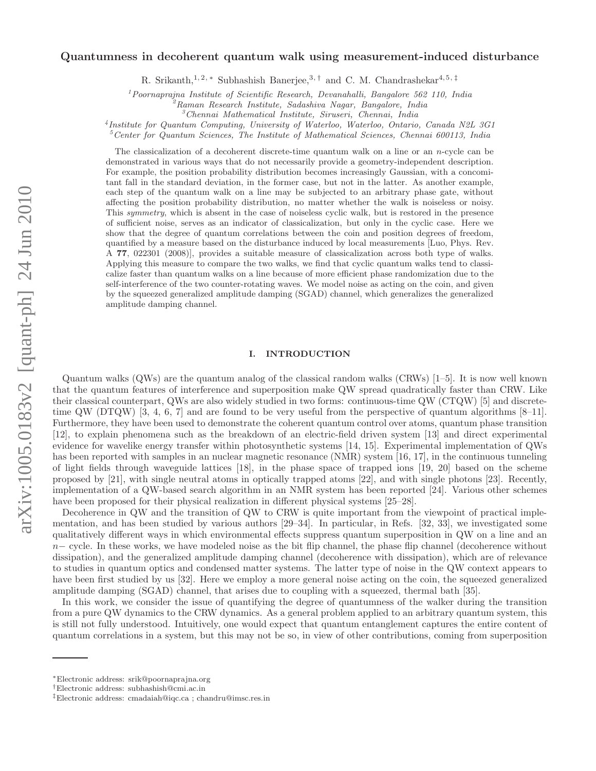# arXiv:1005.0183v2 [quant-ph] 24 Jun 2010 arXiv:1005.0183v2 [quant-ph] 24 Jun 2010

# Quantumness in decoherent quantum walk using measurement-induced disturbance

R. Srikanth,<sup>1, 2, ∗</sup> Subhashish Banerjee,<sup>3,†</sup> and C. M. Chandrashekar<sup>4, 5,‡</sup>

 $1$ Poornaprajna Institute of Scientific Research, Devanahalli, Bangalore 562 110, India

 ${}^2$ Raman Research Institute, Sadashiva Nagar, Bangalore, India

 ${}^3$ Chennai Mathematical Institute, Siruseri, Chennai, India

4 Institute for Quantum Computing, University of Waterloo, Waterloo, Ontario, Canada N2L 3G1

 $5$  Center for Quantum Sciences, The Institute of Mathematical Sciences, Chennai 600113, India

The classicalization of a decoherent discrete-time quantum walk on a line or an n-cycle can be demonstrated in various ways that do not necessarily provide a geometry-independent description. For example, the position probability distribution becomes increasingly Gaussian, with a concomitant fall in the standard deviation, in the former case, but not in the latter. As another example, each step of the quantum walk on a line may be subjected to an arbitrary phase gate, without affecting the position probability distribution, no matter whether the walk is noiseless or noisy. This symmetry, which is absent in the case of noiseless cyclic walk, but is restored in the presence of sufficient noise, serves as an indicator of classicalization, but only in the cyclic case. Here we show that the degree of quantum correlations between the coin and position degrees of freedom, quantified by a measure based on the disturbance induced by local measurements [Luo, Phys. Rev. A 77, 022301 (2008)], provides a suitable measure of classicalization across both type of walks. Applying this measure to compare the two walks, we find that cyclic quantum walks tend to classicalize faster than quantum walks on a line because of more efficient phase randomization due to the self-interference of the two counter-rotating waves. We model noise as acting on the coin, and given by the squeezed generalized amplitude damping (SGAD) channel, which generalizes the generalized amplitude damping channel.

# I. INTRODUCTION

Quantum walks (QWs) are the quantum analog of the classical random walks (CRWs) [1–5]. It is now well known that the quantum features of interference and superposition make QW spread quadratically faster than CRW. Like their classical counterpart, QWs are also widely studied in two forms: continuous-time QW (CTQW) [5] and discretetime QW (DTQW) [3, 4, 6, 7] and are found to be very useful from the perspective of quantum algorithms  $[8-11]$ . Furthermore, they have been used to demonstrate the coherent quantum control over atoms, quantum phase transition [12], to explain phenomena such as the breakdown of an electric-field driven system [13] and direct experimental evidence for wavelike energy transfer within photosynthetic systems [14, 15]. Experimental implementation of QWs has been reported with samples in an nuclear magnetic resonance (NMR) system [16, 17], in the continuous tunneling of light fields through waveguide lattices [18], in the phase space of trapped ions [19, 20] based on the scheme proposed by [21], with single neutral atoms in optically trapped atoms [22], and with single photons [23]. Recently, implementation of a QW-based search algorithm in an NMR system has been reported [24]. Various other schemes have been proposed for their physical realization in different physical systems [25–28].

Decoherence in QW and the transition of QW to CRW is quite important from the viewpoint of practical implementation, and has been studied by various authors [29–34]. In particular, in Refs. [32, 33], we investigated some qualitatively different ways in which environmental effects suppress quantum superposition in QW on a line and an  $n-$  cycle. In these works, we have modeled noise as the bit flip channel, the phase flip channel (decoherence without dissipation), and the generalized amplitude damping channel (decoherence with dissipation), which are of relevance to studies in quantum optics and condensed matter systems. The latter type of noise in the QW context appears to have been first studied by us [32]. Here we employ a more general noise acting on the coin, the squeezed generalized amplitude damping (SGAD) channel, that arises due to coupling with a squeezed, thermal bath [35].

In this work, we consider the issue of quantifying the degree of quantumness of the walker during the transition from a pure QW dynamics to the CRW dynamics. As a general problem applied to an arbitrary quantum system, this is still not fully understood. Intuitively, one would expect that quantum entanglement captures the entire content of quantum correlations in a system, but this may not be so, in view of other contributions, coming from superposition

<sup>∗</sup>Electronic address: srik@poornaprajna.org

<sup>†</sup>Electronic address: subhashish@cmi.ac.in

<sup>‡</sup>Electronic address: cmadaiah@iqc.ca ; chandru@imsc.res.in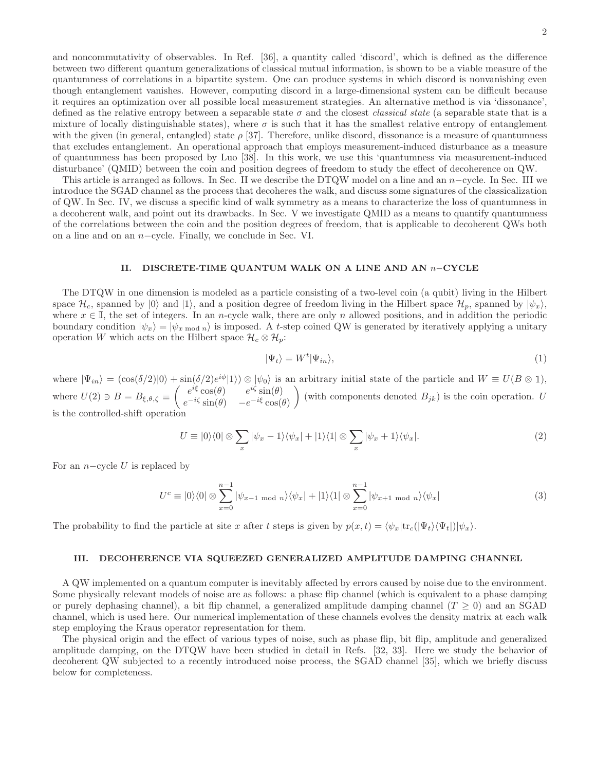and noncommutativity of observables. In Ref. [36], a quantity called 'discord', which is defined as the difference between two different quantum generalizations of classical mutual information, is shown to be a viable measure of the quantumness of correlations in a bipartite system. One can produce systems in which discord is nonvanishing even though entanglement vanishes. However, computing discord in a large-dimensional system can be difficult because it requires an optimization over all possible local measurement strategies. An alternative method is via 'dissonance', defined as the relative entropy between a separable state  $\sigma$  and the closest *classical state* (a separable state that is a mixture of locally distinguishable states), where  $\sigma$  is such that it has the smallest relative entropy of entanglement with the given (in general, entangled) state  $\rho$  [37]. Therefore, unlike discord, dissonance is a measure of quantumness that excludes entanglement. An operational approach that employs measurement-induced disturbance as a measure of quantumness has been proposed by Luo [38]. In this work, we use this 'quantumness via measurement-induced disturbance' (QMID) between the coin and position degrees of freedom to study the effect of decoherence on QW.

This article is arranged as follows. In Sec. II we describe the DTQW model on a line and an n−cycle. In Sec. III we introduce the SGAD channel as the process that decoheres the walk, and discuss some signatures of the classicalization of QW. In Sec. IV, we discuss a specific kind of walk symmetry as a means to characterize the loss of quantumness in a decoherent walk, and point out its drawbacks. In Sec. V we investigate QMID as a means to quantify quantumness of the correlations between the coin and the position degrees of freedom, that is applicable to decoherent QWs both on a line and on an n−cycle. Finally, we conclude in Sec. VI.

# II. DISCRETE-TIME QUANTUM WALK ON A LINE AND AN n−CYCLE

The DTQW in one dimension is modeled as a particle consisting of a two-level coin (a qubit) living in the Hilbert space  $\mathcal{H}_c$ , spanned by  $|0\rangle$  and  $|1\rangle$ , and a position degree of freedom living in the Hilbert space  $\mathcal{H}_p$ , spanned by  $|\psi_x\rangle$ , where  $x \in \mathbb{I}$ , the set of integers. In an n-cycle walk, there are only n allowed positions, and in addition the periodic boundary condition  $|\psi_x\rangle = |\psi_{x \text{ mod } n}\rangle$  is imposed. A t-step coined QW is generated by iteratively applying a unitary operation W which acts on the Hilbert space  $\mathcal{H}_c \otimes \mathcal{H}_p$ :

$$
|\Psi_t\rangle = W^t |\Psi_{in}\rangle,\tag{1}
$$

where  $|\Psi_{in}\rangle = (\cos(\delta/2)|0\rangle + \sin(\delta/2)e^{i\phi}|1\rangle) \otimes |\psi_0\rangle$  is an arbitrary initial state of the particle and  $W \equiv U(B \otimes \mathbb{1}),$ where  $U(2) \ni B = B_{\xi,\theta,\zeta} \equiv \begin{pmatrix} e^{i\xi}\cos(\theta) & e^{i\zeta}\sin(\theta) \\ e^{-i\zeta}\sin(\theta) & -e^{-i\xi}\cos(\theta) \end{pmatrix}$  $e^{-i\zeta}\sin(\theta) - e^{-i\xi}\cos(\theta)$ (with components denoted  $B_{jk}$ ) is the coin operation. U is the controlled-shift operation

$$
U \equiv |0\rangle\langle 0| \otimes \sum_{x} |\psi_{x} - 1\rangle\langle\psi_{x}| + |1\rangle\langle 1| \otimes \sum_{x} |\psi_{x} + 1\rangle\langle\psi_{x}|.
$$
 (2)

For an  $n$ -cycle U is replaced by

$$
U^c \equiv |0\rangle\langle 0| \otimes \sum_{x=0}^{n-1} |\psi_{x-1 \text{ mod } n}\rangle\langle\psi_x| + |1\rangle\langle 1| \otimes \sum_{x=0}^{n-1} |\psi_{x+1 \text{ mod } n}\rangle\langle\psi_x|
$$
 (3)

The probability to find the particle at site x after t steps is given by  $p(x,t) = \langle \psi_x | \text{tr}_c(|\Psi_t\rangle \langle \Psi_t |)|\psi_x\rangle$ .

### III. DECOHERENCE VIA SQUEEZED GENERALIZED AMPLITUDE DAMPING CHANNEL

A QW implemented on a quantum computer is inevitably affected by errors caused by noise due to the environment. Some physically relevant models of noise are as follows: a phase flip channel (which is equivalent to a phase damping or purely dephasing channel), a bit flip channel, a generalized amplitude damping channel ( $T \ge 0$ ) and an SGAD channel, which is used here. Our numerical implementation of these channels evolves the density matrix at each walk step employing the Kraus operator representation for them.

The physical origin and the effect of various types of noise, such as phase flip, bit flip, amplitude and generalized amplitude damping, on the DTQW have been studied in detail in Refs. [32, 33]. Here we study the behavior of decoherent QW subjected to a recently introduced noise process, the SGAD channel [35], which we briefly discuss below for completeness.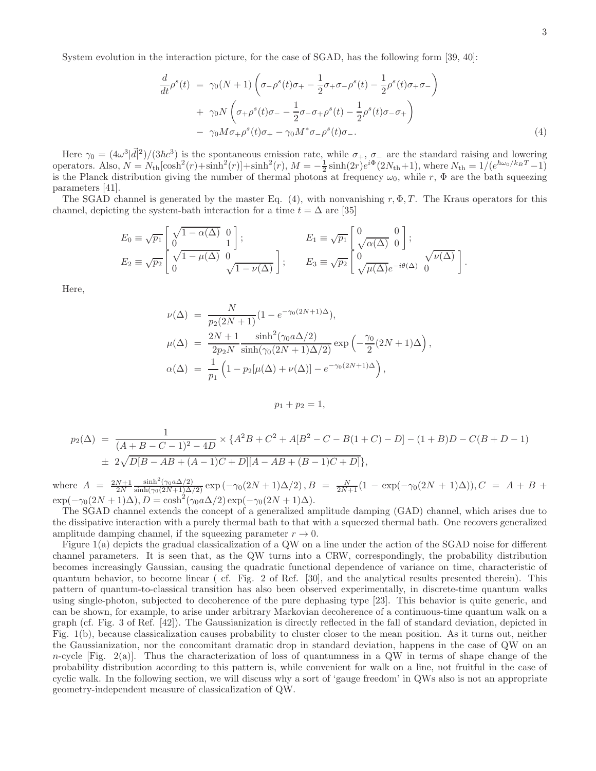System evolution in the interaction picture, for the case of SGAD, has the following form [39, 40]:

$$
\frac{d}{dt}\rho^{s}(t) = \gamma_{0}(N+1)\left(\sigma_{-\rho}^{s}(t)\sigma_{+} - \frac{1}{2}\sigma_{+}\sigma_{-\rho}^{s}(t) - \frac{1}{2}\rho^{s}(t)\sigma_{+}\sigma_{-}\right) \n+ \gamma_{0}N\left(\sigma_{+\rho}^{s}(t)\sigma_{-} - \frac{1}{2}\sigma_{-\sigma_{+}\rho}^{s}(t) - \frac{1}{2}\rho^{s}(t)\sigma_{-\sigma_{+}}\right) \n- \gamma_{0}M\sigma_{+\rho}^{s}(t)\sigma_{+} - \gamma_{0}M^{*}\sigma_{-\rho}^{s}(t)\sigma_{-}.
$$
\n(4)

Here  $\gamma_0 = (4\omega^3|\vec{d}|^2)/(3\hbar c^3)$  is the spontaneous emission rate, while  $\sigma_+$ ,  $\sigma_-$  are the standard raising and lowering operators. Also,  $N = N_{\text{th}}[\cosh^2(r) + \sinh^2(r)] + \sinh^2(r)$ ,  $M = -\frac{1}{2}\sinh(2r)e^{i\Phi}(2N_{\text{th}}+1)$ , where  $N_{\text{th}} = 1/(e^{\hbar\omega_0/k_BT}-1)$ is the Planck distribution giving the number of thermal photons at frequency  $\omega_0$ , while r,  $\Phi$  are the bath squeezing parameters [41].

The SGAD channel is generated by the master Eq. (4), with nonvanishing r,  $\Phi$ , T. The Kraus operators for this channel, depicting the system-bath interaction for a time  $t = \Delta$  are [35]

$$
E_0 \equiv \sqrt{p_1} \begin{bmatrix} \sqrt{1 - \alpha(\Delta)} & 0 \\ 0 & 1 \end{bmatrix};
$$
  
\n
$$
E_1 \equiv \sqrt{p_1} \begin{bmatrix} 0 & 0 \\ \sqrt{\alpha(\Delta)} & 0 \end{bmatrix};
$$
  
\n
$$
E_2 \equiv \sqrt{p_2} \begin{bmatrix} \sqrt{1 - \mu(\Delta)} & 0 \\ 0 & \sqrt{1 - \nu(\Delta)} \end{bmatrix};
$$
  
\n
$$
E_3 \equiv \sqrt{p_2} \begin{bmatrix} 0 & 0 \\ 0 & \sqrt{\mu(\Delta)} e^{-i\theta(\Delta)} & 0 \end{bmatrix}.
$$

Here,

$$
\nu(\Delta) = \frac{N}{p_2(2N+1)} (1 - e^{-\gamma_0(2N+1)\Delta}),
$$
  
\n
$$
\mu(\Delta) = \frac{2N+1}{2p_2N} \frac{\sinh^2(\gamma_0 a \Delta/2)}{\sinh(\gamma_0(2N+1)\Delta/2)} \exp\left(-\frac{\gamma_0}{2}(2N+1)\Delta\right),
$$
  
\n
$$
\alpha(\Delta) = \frac{1}{p_1} \left(1 - p_2[\mu(\Delta) + \nu(\Delta)] - e^{-\gamma_0(2N+1)\Delta}\right),
$$

$$
p_1+p_2=1,
$$

$$
p_2(\Delta) = \frac{1}{(A+B-C-1)^2 - 4D} \times \{A^2B + C^2 + A[B^2 - C - B(1+C) - D] - (1+B)D - C(B+D-1) \}
$$
  

$$
\pm 2\sqrt{D[B-AB+(A-1)C+D][A-AB+(B-1)C+D]}\},
$$

where  $A = \frac{2N+1}{2N}$  $\frac{\sinh^2(\gamma_0 a \Delta/2)}{\sinh(\gamma_0 (2N+1) \Delta/2)} \exp(-\gamma_0 (2N+1) \Delta/2), B = \frac{N}{2N+1} (1 - \exp(-\gamma_0 (2N+1) \Delta)), C = A + B +$  $\exp(-\gamma_0(2N+1)\Delta), D = \cosh^2(\gamma_0 a \Delta/2) \exp(-\gamma_0(2N+1)\Delta).$ 

The SGAD channel extends the concept of a generalized amplitude damping (GAD) channel, which arises due to the dissipative interaction with a purely thermal bath to that with a squeezed thermal bath. One recovers generalized amplitude damping channel, if the squeezing parameter  $r \to 0$ .

Figure 1(a) depicts the gradual classicalization of a QW on a line under the action of the SGAD noise for different channel parameters. It is seen that, as the QW turns into a CRW, correspondingly, the probability distribution becomes increasingly Gaussian, causing the quadratic functional dependence of variance on time, characteristic of quantum behavior, to become linear ( cf. Fig. 2 of Ref. [30], and the analytical results presented therein). This pattern of quantum-to-classical transition has also been observed experimentally, in discrete-time quantum walks using single-photon, subjected to decoherence of the pure dephasing type [23]. This behavior is quite generic, and can be shown, for example, to arise under arbitrary Markovian decoherence of a continuous-time quantum walk on a graph (cf. Fig. 3 of Ref. [42]). The Gaussianization is directly reflected in the fall of standard deviation, depicted in Fig. 1(b), because classicalization causes probability to cluster closer to the mean position. As it turns out, neither the Gaussianization, nor the concomitant dramatic drop in standard deviation, happens in the case of QW on an n-cycle [Fig.  $2(a)$ ]. Thus the characterization of loss of quantumness in a QW in terms of shape change of the probability distribution according to this pattern is, while convenient for walk on a line, not fruitful in the case of cyclic walk. In the following section, we will discuss why a sort of 'gauge freedom' in QWs also is not an appropriate geometry-independent measure of classicalization of QW.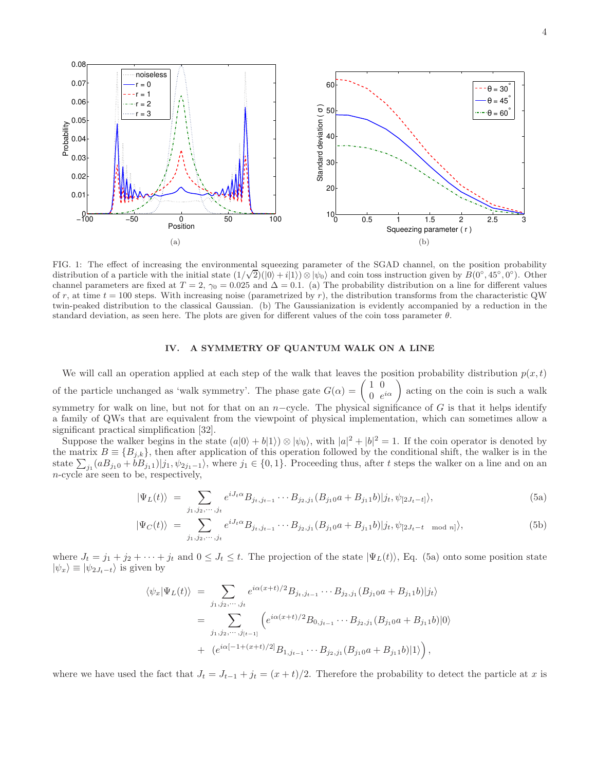

FIG. 1: The effect of increasing the environmental squeezing parameter of the SGAD channel, on the position probability distribution of a particle with the initial state  $(1/\sqrt{2})(|0\rangle + i|1\rangle) \otimes |\psi_0\rangle$  and coin toss instruction given by  $B(0°, 45°, 0°)$ . Other channel parameters are fixed at  $T = 2$ ,  $\gamma_0 = 0.025$  and  $\Delta = 0.1$ . (a) The probability distribution on a line for different values of r, at time  $t = 100$  steps. With increasing noise (parametrized by r), the distribution transforms from the characteristic QW twin-peaked distribution to the classical Gaussian. (b) The Gaussianization is evidently accompanied by a reduction in the standard deviation, as seen here. The plots are given for different values of the coin toss parameter  $\theta$ .

# IV. A SYMMETRY OF QUANTUM WALK ON A LINE

We will call an operation applied at each step of the walk that leaves the position probability distribution  $p(x, t)$ of the particle unchanged as 'walk symmetry'. The phase gate  $G(\alpha) = \begin{pmatrix} 1 & 0 \\ 0 & 0 \end{pmatrix}$  $\begin{pmatrix} 1 & 0 \\ 0 & e^{i\alpha} \end{pmatrix}$  acting on the coin is such a walk symmetry for walk on line, but not for that on an n–cycle. The physical significance of G is that it helps identify a family of QWs that are equivalent from the viewpoint of physical implementation, which can sometimes allow a significant practical simplification [32].

Suppose the walker begins in the state  $(a|0\rangle + b|1\rangle) \otimes |\psi_0\rangle$ , with  $|a|^2 + |b|^2 = 1$ . If the coin operator is denoted by the matrix  $B = \{B_{j,k}\}\,$ , then after application of this operation followed by the conditional shift, the walker is in the state  $\sum_{j_1}(aB_{j_10}+bB_{j_11})|j_1,\psi_{2j_1-1}\rangle$ , where  $j_1 \in \{0,1\}$ . Proceeding thus, after t steps the walker on a line and on an n-cycle are seen to be, respectively,

$$
|\Psi_L(t)\rangle = \sum_{j_1, j_2, \cdots, j_t} e^{iJ_t \alpha} B_{j_t, j_{t-1}} \cdots B_{j_2, j_1} (B_{j_1 0} a + B_{j_1 1} b)|j_t, \psi_{[2J_t - t]}\rangle, \tag{5a}
$$

$$
|\Psi_C(t)\rangle = \sum_{j_1, j_2, \cdots, j_t} e^{iJ_t \alpha} B_{j_t, j_{t-1}} \cdots B_{j_2, j_1} (B_{j_1 0} a + B_{j_1 1} b)|j_t, \psi_{[2J_t - t \mod n]} \rangle, \tag{5b}
$$

where  $J_t = j_1 + j_2 + \cdots + j_t$  and  $0 \leq J_t \leq t$ . The projection of the state  $|\Psi_L(t)\rangle$ , Eq. (5a) onto some position state  $|\psi_x\rangle \equiv |\psi_{2J_t-t}\rangle$  is given by

$$
\langle \psi_x | \Psi_L(t) \rangle = \sum_{j_1, j_2, \dots, j_t} e^{i\alpha(x+t)/2} B_{j_t, j_{t-1}} \cdots B_{j_2, j_1} (B_{j_1 0} a + B_{j_1 1} b)|j_t \rangle
$$
  
= 
$$
\sum_{j_1, j_2, \dots, j_{[t-1]}} \left( e^{i\alpha(x+t)/2} B_{0, j_{t-1}} \cdots B_{j_2, j_1} (B_{j_1 0} a + B_{j_1 1} b)|0 \rangle \right)
$$
  
+ 
$$
(e^{i\alpha[-1 + (x+t)/2]} B_{1, j_{t-1}} \cdots B_{j_2, j_1} (B_{j_1 0} a + B_{j_1 1} b)|1 \rangle),
$$

where we have used the fact that  $J_t = J_{t-1} + j_t = (x + t)/2$ . Therefore the probability to detect the particle at x is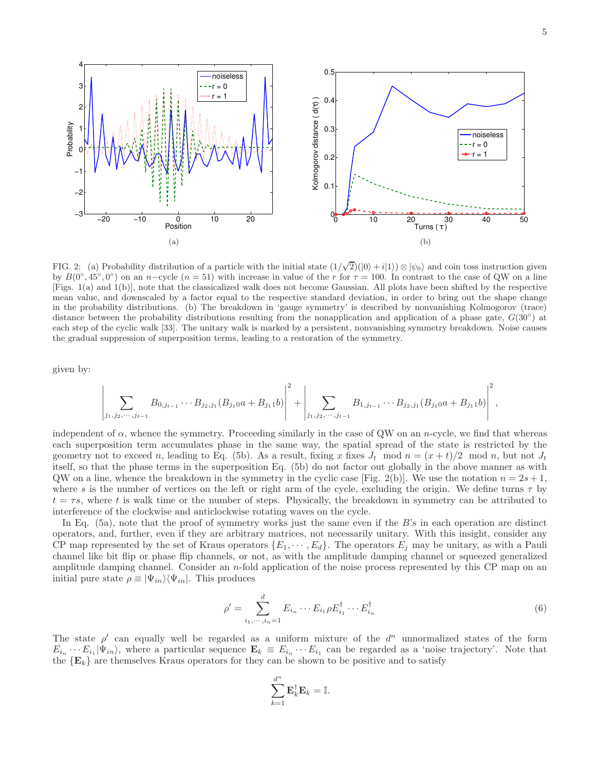

FIG. 2: (a) Probability distribution of a particle with the initial state  $(1/\sqrt{2})(|0\rangle + i|1\rangle) \otimes |\psi_0\rangle$  and coin toss instruction given by  $B(0°, 45°, 0°)$  on an n-cycle  $(n = 51)$  with increase in value of the r for  $\tau = 100$ . In contrast to the case of QW on a line [Figs. 1(a) and 1(b)], note that the classicalized walk does not become Gaussian. All plots have been shifted by the respective mean value, and downscaled by a factor equal to the respective standard deviation, in order to bring out the shape change in the probability distributions. (b) The breakdown in 'gauge symmetry' is described by nonvanishing Kolmogorov (trace) distance between the probability distributions resulting from the nonapplication and application of a phase gate,  $G(30°)$  at each step of the cyclic walk [33]. The unitary walk is marked by a persistent, nonvanishing symmetry breakdown. Noise causes the gradual suppression of superposition terms, leading to a restoration of the symmetry.

given by:

$$
\left|\sum_{j_1,j_2,\dots,j_{t-1}} B_{0,j_{t-1}}\cdots B_{j_2,j_1}(B_{j_10}a+B_{j_11}b)\right|^2 + \left|\sum_{j_1,j_2,\dots,j_{t-1}} B_{1,j_{t-1}}\cdots B_{j_2,j_1}(B_{j_10}a+B_{j_11}b)\right|^2,
$$

independent of  $\alpha$ , whence the symmetry. Proceeding similarly in the case of QW on an n-cycle, we find that whereas each superposition term accumulates phase in the same way, the spatial spread of the state is restricted by the geometry not to exceed n, leading to Eq. (5b). As a result, fixing x fixes  $J_t$  mod  $n = (x + t)/2$  mod n, but not  $J_t$ itself, so that the phase terms in the superposition Eq. (5b) do not factor out globally in the above manner as with QW on a line, whence the breakdown in the symmetry in the cyclic case [Fig. 2(b)]. We use the notation  $n = 2s + 1$ , where s is the number of vertices on the left or right arm of the cycle, excluding the origin. We define turns  $\tau$  by  $t = \tau s$ , where t is walk time or the number of steps. Physically, the breakdown in symmetry can be attributed to interference of the clockwise and anticlockwise rotating waves on the cycle.

In Eq. (5a), note that the proof of symmetry works just the same even if the B's in each operation are distinct operators, and, further, even if they are arbitrary matrices, not necessarily unitary. With this insight, consider any CP map represented by the set of Kraus operators  $\{E_1, \dots, E_d\}$ . The operators  $E_j$  may be unitary, as with a Pauli channel like bit flip or phase flip channels, or not, as with the amplitude damping channel or squeezed generalized amplitude damping channel. Consider an n-fold application of the noise process represented by this CP map on an initial pure state  $\rho \equiv |\Psi_{in}\rangle \langle \Psi_{in}|$ . This produces

$$
\rho' = \sum_{i_1, \dots, i_n=1}^d E_{i_n} \cdots E_{i_1} \rho E_{i_1}^\dagger \cdots E_{i_n}^\dagger \tag{6}
$$

The state  $\rho'$  can equally well be regarded as a uniform mixture of the  $d^n$  unnormalized states of the form  $E_{i_n} \cdots E_{i_1} |\Psi_{in}\rangle$ , where a particular sequence  $\mathbf{E}_k \equiv E_{i_n} \cdots E_{i_1}$  can be regarded as a 'noise trajectory'. Note that the  ${E_k}$  are themselves Kraus operators for they can be shown to be positive and to satisfy

$$
\sum_{k=1}^{d^n} \mathbf{E}_k^{\dagger} \mathbf{E}_k = \mathbb{I}.
$$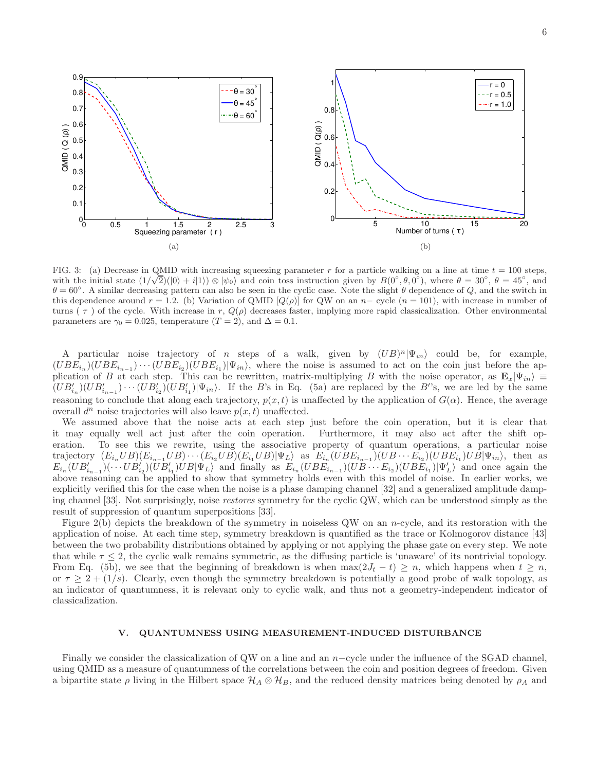

FIG. 3: (a) Decrease in QMID with increasing squeezing parameter r for a particle walking on a line at time  $t = 100$  steps, with the initial state  $(1/\sqrt{2})(|0\rangle + i|1\rangle) \otimes |\psi_0\rangle$  and coin toss instruction given by  $B(0°, \theta, 0°)$ , where  $\theta = 30°$ ,  $\theta = 45°$ , and  $\theta = 60^\circ$ . A similar decreasing pattern can also be seen in the cyclic case. Note the slight  $\theta$  dependence of Q, and the switch in this dependence around  $r = 1.2$ . (b) Variation of QMID [Q(p)] for QW on an n– cycle  $(n = 101)$ , with increase in number of turns  $(\tau)$  of the cycle. With increase in r,  $Q(\rho)$  decreases faster, implying more rapid classicalization. Other environmental parameters are  $\gamma_0 = 0.025$ , temperature (T = 2), and  $\Delta = 0.1$ .

A particular noise trajectory of *n* steps of a walk, given by  $(UB)^n |\Psi_{in}\rangle$  could be, for example,  $(UBE_{i_n})(UBE_{i_{n-1}})\cdots (UBE_{i_2})(UBE_{i_1})|\Psi_{in}\rangle$ , where the noise is assumed to act on the coin just before the application of B at each step. This can be rewritten, matrix-multiplying B with the noise operator, as  $\mathbf{E}_x|\Psi_{in}\rangle \equiv$  $(UB'_{i_n})(UB'_{i_{n-1}})\cdots (UB'_{i_2})(UB'_{i_1})|\Psi_{in}\rangle$ . If the B's in Eq. (5a) are replaced by the B''s, we are led by the same reasoning to conclude that along each trajectory,  $p(x, t)$  is unaffected by the application of  $G(\alpha)$ . Hence, the average overall  $d^n$  noise trajectories will also leave  $p(x, t)$  unaffected.

We assumed above that the noise acts at each step just before the coin operation, but it is clear that it may equally well act just after the coin operation. Furthermore, it may also act after the shift operation. To see this we rewrite, using the associative property of quantum operations, a particular noise trajectory  $(E_{i_n}UB)(E_{i_{n-1}}UB)\cdots(E_{i_2}UB)(E_{i_1}UB)|\Psi_L\rangle$  as  $E_{i_n}(UBE_{i_{n-1}})(UB\cdots E_{i_2})(UBE_{i_1})UB|\Psi_{in}\rangle$ , then as  $E_{i_n}(UB'_{i_{n-1}})(\cdots UB'_{i_2})(UB'_{i_1})UB|\Psi_L\rangle$  and finally as  $E_{i_n}(UBE_{i_{n-1}})(UB\cdots E_{i_2})(UBE'_{i_1})|\Psi'_L\rangle$  and once again the above reasoning can be applied to show that symmetry holds even with this model of noise. In earlier works, we explicitly verified this for the case when the noise is a phase damping channel [32] and a generalized amplitude damping channel [33]. Not surprisingly, noise restores symmetry for the cyclic QW, which can be understood simply as the result of suppression of quantum superpositions [33].

Figure 2(b) depicts the breakdown of the symmetry in noiseless QW on an n-cycle, and its restoration with the application of noise. At each time step, symmetry breakdown is quantified as the trace or Kolmogorov distance [43] between the two probability distributions obtained by applying or not applying the phase gate on every step. We note that while  $\tau \leq 2$ , the cyclic walk remains symmetric, as the diffusing particle is 'unaware' of its nontrivial topology. From Eq. (5b), we see that the beginning of breakdown is when  $\max(2J_t - t) \geq n$ , which happens when  $t \geq n$ , or  $\tau \geq 2 + (1/s)$ . Clearly, even though the symmetry breakdown is potentially a good probe of walk topology, as an indicator of quantumness, it is relevant only to cyclic walk, and thus not a geometry-independent indicator of classicalization.

### V. QUANTUMNESS USING MEASUREMENT-INDUCED DISTURBANCE

Finally we consider the classicalization of QW on a line and an n−cycle under the influence of the SGAD channel, using QMID as a measure of quantumness of the correlations between the coin and position degrees of freedom. Given a bipartite state  $\rho$  living in the Hilbert space  $\mathcal{H}_A \otimes \mathcal{H}_B$ , and the reduced density matrices being denoted by  $\rho_A$  and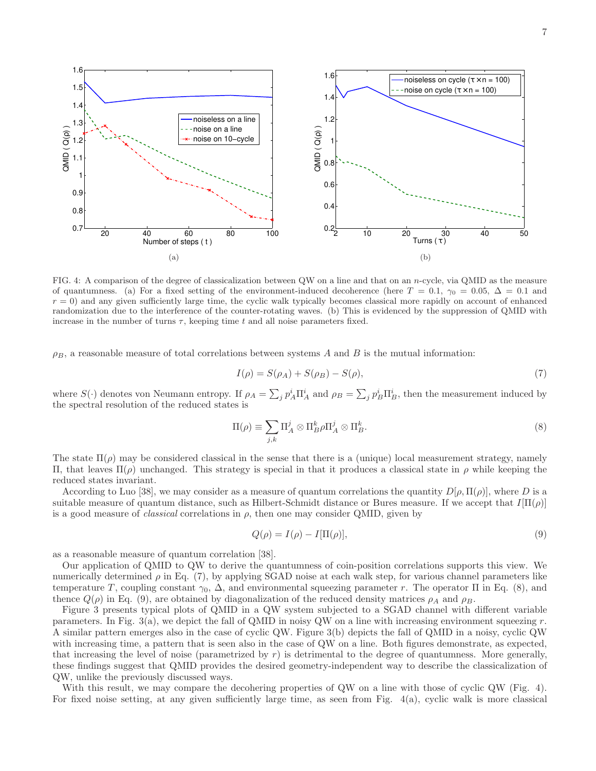

FIG. 4: A comparison of the degree of classicalization between QW on a line and that on an n-cycle, via QMID as the measure of quantumness. (a) For a fixed setting of the environment-induced decoherence (here  $T = 0.1$ ,  $\gamma_0 = 0.05$ ,  $\Delta = 0.1$  and  $r = 0$ ) and any given sufficiently large time, the cyclic walk typically becomes classical more rapidly on account of enhanced randomization due to the interference of the counter-rotating waves. (b) This is evidenced by the suppression of QMID with increase in the number of turns  $\tau$ , keeping time t and all noise parameters fixed.

 $\rho_B$ , a reasonable measure of total correlations between systems A and B is the mutual information:

$$
I(\rho) = S(\rho_A) + S(\rho_B) - S(\rho),\tag{7}
$$

where  $S(\cdot)$  denotes von Neumann entropy. If  $\rho_A = \sum_j p_A^i \Pi_A^i$  and  $\rho_B = \sum_j p_B^i \Pi_B^i$ , then the measurement induced by the spectral resolution of the reduced states is

$$
\Pi(\rho) \equiv \sum_{j,k} \Pi_A^j \otimes \Pi_B^k \rho \Pi_A^j \otimes \Pi_B^k. \tag{8}
$$

The state  $\Pi(\rho)$  may be considered classical in the sense that there is a (unique) local measurement strategy, namely Π, that leaves Π(ρ) unchanged. This strategy is special in that it produces a classical state in ρ while keeping the reduced states invariant.

According to Luo [38], we may consider as a measure of quantum correlations the quantity  $D[\rho, \Pi(\rho)]$ , where D is a suitable measure of quantum distance, such as Hilbert-Schmidt distance or Bures measure. If we accept that  $I[\Pi(\rho)]$ is a good measure of *classical* correlations in  $\rho$ , then one may consider QMID, given by

$$
Q(\rho) = I(\rho) - I[\Pi(\rho)],\tag{9}
$$

as a reasonable measure of quantum correlation [38].

Our application of QMID to QW to derive the quantumness of coin-position correlations supports this view. We numerically determined  $\rho$  in Eq. (7), by applying SGAD noise at each walk step, for various channel parameters like temperature T, coupling constant  $\gamma_0$ ,  $\Delta$ , and environmental squeezing parameter r. The operator  $\Pi$  in Eq. (8), and thence  $Q(\rho)$  in Eq. (9), are obtained by diagonalization of the reduced density matrices  $\rho_A$  and  $\rho_B$ .

Figure 3 presents typical plots of QMID in a QW system subjected to a SGAD channel with different variable parameters. In Fig. 3(a), we depict the fall of QMID in noisy QW on a line with increasing environment squeezing  $r$ . A similar pattern emerges also in the case of cyclic QW. Figure 3(b) depicts the fall of QMID in a noisy, cyclic QW with increasing time, a pattern that is seen also in the case of QW on a line. Both figures demonstrate, as expected, that increasing the level of noise (parametrized by  $r$ ) is detrimental to the degree of quantumness. More generally, these findings suggest that QMID provides the desired geometry-independent way to describe the classicalization of QW, unlike the previously discussed ways.

With this result, we may compare the decohering properties of QW on a line with those of cyclic QW (Fig. 4). For fixed noise setting, at any given sufficiently large time, as seen from Fig. 4(a), cyclic walk is more classical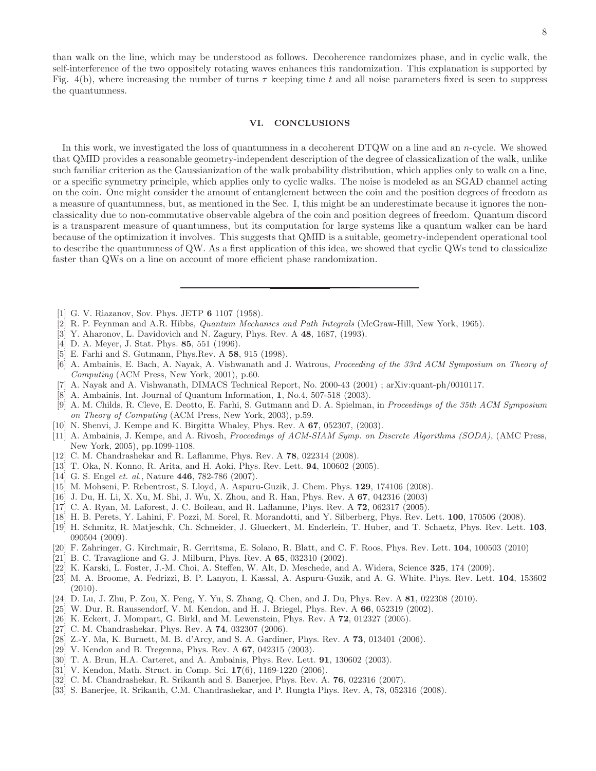than walk on the line, which may be understood as follows. Decoherence randomizes phase, and in cyclic walk, the self-interference of the two oppositely rotating waves enhances this randomization. This explanation is supported by Fig. 4(b), where increasing the number of turns  $\tau$  keeping time t and all noise parameters fixed is seen to suppress the quantumness.

# VI. CONCLUSIONS

In this work, we investigated the loss of quantumness in a decoherent DTQW on a line and an n-cycle. We showed that QMID provides a reasonable geometry-independent description of the degree of classicalization of the walk, unlike such familiar criterion as the Gaussianization of the walk probability distribution, which applies only to walk on a line, or a specific symmetry principle, which applies only to cyclic walks. The noise is modeled as an SGAD channel acting on the coin. One might consider the amount of entanglement between the coin and the position degrees of freedom as a measure of quantumness, but, as mentioned in the Sec. I, this might be an underestimate because it ignores the nonclassicality due to non-commutative observable algebra of the coin and position degrees of freedom. Quantum discord is a transparent measure of quantumness, but its computation for large systems like a quantum walker can be hard because of the optimization it involves. This suggests that QMID is a suitable, geometry-independent operational tool to describe the quantumness of QW. As a first application of this idea, we showed that cyclic QWs tend to classicalize faster than QWs on a line on account of more efficient phase randomization.

- [1] G. V. Riazanov, Sov. Phys. JETP 6 1107 (1958).
- [2] R. P. Feynman and A.R. Hibbs, Quantum Mechanics and Path Integrals (McGraw-Hill, New York, 1965).
- [3] Y. Aharonov, L. Davidovich and N. Zagury, Phys. Rev. A 48, 1687, (1993).
- [4] D. A. Meyer, J. Stat. Phys. 85, 551 (1996).
- [5] E. Farhi and S. Gutmann, Phys.Rev. A 58, 915 (1998).
- [6] A. Ambainis, E. Bach, A. Nayak, A. Vishwanath and J. Watrous, Proceeding of the 33rd ACM Symposium on Theory of Computing (ACM Press, New York, 2001), p.60.
- [7] A. Nayak and A. Vishwanath, DIMACS Technical Report, No. 2000-43 (2001) ; arXiv:quant-ph/0010117.
- [8] A. Ambainis, Int. Journal of Quantum Information, 1, No.4, 507-518 (2003).
- [9] A. M. Childs, R. Cleve, E. Deotto, E. Farhi, S. Gutmann and D. A. Spielman, in Proceedings of the 35th ACM Symposium on Theory of Computing (ACM Press, New York, 2003), p.59.
- [10] N. Shenvi, J. Kempe and K. Birgitta Whaley, Phys. Rev. A 67, 052307, (2003).
- [11] A. Ambainis, J. Kempe, and A. Rivosh, Proceedings of ACM-SIAM Symp. on Discrete Algorithms (SODA), (AMC Press, New York, 2005), pp.1099-1108.
- [12] C. M. Chandrashekar and R. Laflamme, Phys. Rev. A 78, 022314 (2008).
- [13] T. Oka, N. Konno, R. Arita, and H. Aoki, Phys. Rev. Lett. 94, 100602 (2005).
- [14] G. S. Engel et. al., Nature 446, 782-786 (2007).
- [15] M. Mohseni, P. Rebentrost, S. Lloyd, A. Aspuru-Guzik, J. Chem. Phys. 129, 174106 (2008).
- [16] J. Du, H. Li, X. Xu, M. Shi, J. Wu, X. Zhou, and R. Han, Phys. Rev. A 67, 042316 (2003)
- [17] C. A. Ryan, M. Laforest, J. C. Boileau, and R. Laflamme, Phys. Rev. A 72, 062317 (2005).
- [18] H. B. Perets, Y. Lahini, F. Pozzi, M. Sorel, R. Morandotti, and Y. Silberberg, Phys. Rev. Lett. 100, 170506 (2008).
- [19] H. Schmitz, R. Matjeschk, Ch. Schneider, J. Glueckert, M. Enderlein, T. Huber, and T. Schaetz, Phys. Rev. Lett. 103, 090504 (2009).
- [20] F. Zahringer, G. Kirchmair, R. Gerritsma, E. Solano, R. Blatt, and C. F. Roos, Phys. Rev. Lett. 104, 100503 (2010)
- [21] B. C. Travaglione and G. J. Milburn, Phys. Rev. A **65**, 032310 (2002).
- [22] K. Karski, L. Foster, J.-M. Choi, A. Steffen, W. Alt, D. Meschede, and A. Widera, Science 325, 174 (2009).
- [23] M. A. Broome, A. Fedrizzi, B. P. Lanyon, I. Kassal, A. Aspuru-Guzik, and A. G. White. Phys. Rev. Lett. 104, 153602 (2010).
- [24] D. Lu, J. Zhu, P. Zou, X. Peng, Y. Yu, S. Zhang, Q. Chen, and J. Du, Phys. Rev. A 81, 022308 (2010).
- [25] W. Dur, R. Raussendorf, V. M. Kendon, and H. J. Briegel, Phys. Rev. A 66, 052319 (2002).
- [26] K. Eckert, J. Mompart, G. Birkl, and M. Lewenstein, Phys. Rev. A 72, 012327 (2005).
- [27] C. M. Chandrashekar, Phys. Rev. A **74**, 032307 (2006).
- [28] Z.-Y. Ma, K. Burnett, M. B. d'Arcy, and S. A. Gardiner, Phys. Rev. A **73**, 013401 (2006).
- [29] V. Kendon and B. Tregenna, Phys. Rev. A 67, 042315 (2003).
- [30] T. A. Brun, H.A. Carteret, and A. Ambainis, Phys. Rev. Lett. 91, 130602 (2003).
- [31] V. Kendon, Math. Struct. in Comp. Sci. 17(6), 1169-1220 (2006).
- [32] C. M. Chandrashekar, R. Srikanth and S. Banerjee, Phys. Rev. A. 76, 022316 (2007).
- [33] S. Banerjee, R. Srikanth, C.M. Chandrashekar, and P. Rungta Phys. Rev. A, 78, 052316 (2008).